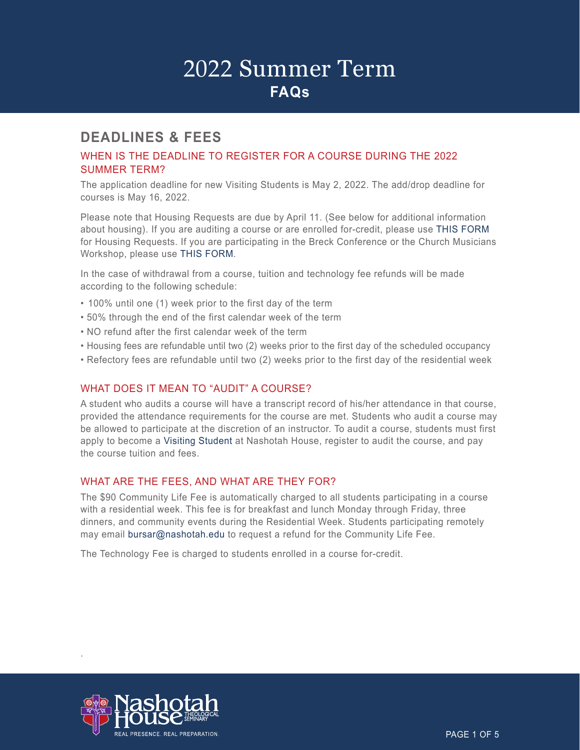## **DEADLINES & FEES**

## WHEN IS THE DEADLINE TO REGISTER FOR A COURSE DURING THE 2022 SUMMER TERM?

The application deadline for new Visiting Students is May 2, 2022. The add/drop deadline for courses is May 16, 2022.

Please note that Housing Requests are due by April 11. (See below for additional information about housing). If you are auditing a course or are enrolled for-credit, please use THIS FORM for Housing Requests. If you are participating in the Breck Conference or the Church Musicians Workshop, please use THIS FORM.

In the case of withdrawal from a course, tuition and technology fee refunds will be made according to the following schedule:

- 100% until one (1) week prior to the first day of the term
- 50% through the end of the first calendar week of the term
- NO refund after the first calendar week of the term
- Housing fees are refundable until two (2) weeks prior to the first day of the scheduled occupancy
- Refectory fees are refundable until two (2) weeks prior to the first day of the residential week

### WHAT DOES IT MEAN TO "AUDIT" A COURSE?

A student who audits a course will have a transcript record of his/her attendance in that course, provided the attendance requirements for the course are met. Students who audit a course may be allowed to participate at the discretion of an instructor. To audit a course, students must first apply to become a Visiting Student at Nashotah House, register to audit the course, and pay the course tuition and fees.

#### WHAT ARE THE FEES, AND WHAT ARE THEY FOR?

The \$90 Community Life Fee is automatically charged to all students participating in a course with a residential week. This fee is for breakfast and lunch Monday through Friday, three dinners, and community events during the Residential Week. Students participating remotely may email bursar@nashotah.edu to request a refund for the Community Life Fee.

The Technology Fee is charged to students enrolled in a course for-credit.



.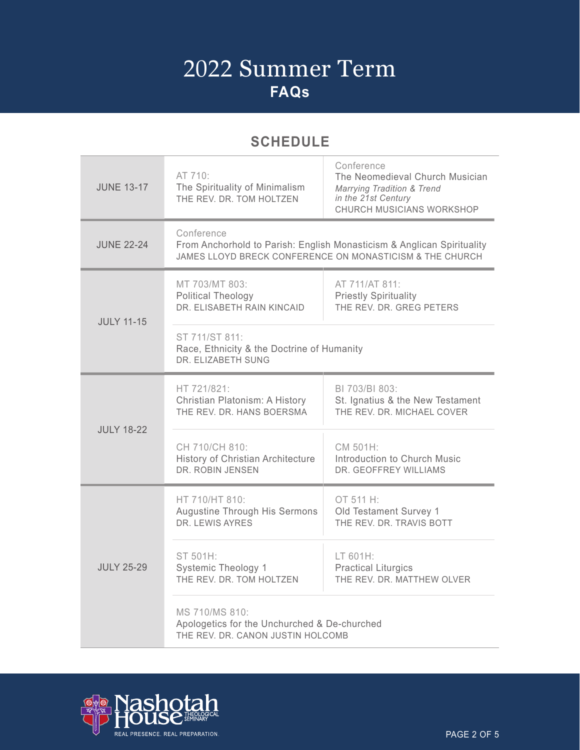# **SCHEDULE**

| <b>JUNE 13-17</b> | AT 710:<br>The Spirituality of Minimalism<br>THE REV. DR. TOM HOLTZEN                                                                            | Conference<br>The Neomedieval Church Musician<br><b>Marrying Tradition &amp; Trend</b><br>in the 21st Century<br>CHURCH MUSICIANS WORKSHOP |
|-------------------|--------------------------------------------------------------------------------------------------------------------------------------------------|--------------------------------------------------------------------------------------------------------------------------------------------|
| <b>JUNE 22-24</b> | Conference<br>From Anchorhold to Parish: English Monasticism & Anglican Spirituality<br>JAMES LLOYD BRECK CONFERENCE ON MONASTICISM & THE CHURCH |                                                                                                                                            |
| <b>JULY 11-15</b> | MT 703/MT 803:<br><b>Political Theology</b><br>DR. ELISABETH RAIN KINCAID                                                                        | AT 711/AT 811:<br><b>Priestly Spirituality</b><br>THE REV. DR. GREG PETERS                                                                 |
|                   | ST 711/ST 811:<br>Race, Ethnicity & the Doctrine of Humanity<br>DR. ELIZABETH SUNG                                                               |                                                                                                                                            |
| <b>JULY 18-22</b> | HT 721/821:<br>Christian Platonism: A History<br>THE REV. DR. HANS BOERSMA                                                                       | BI 703/BI 803:<br>St. Ignatius & the New Testament<br>THE REV. DR. MICHAEL COVER                                                           |
|                   | CH 710/CH 810:<br>History of Christian Architecture<br>DR. ROBIN JENSEN                                                                          | CM 501H:<br>Introduction to Church Music<br>DR. GEOFFREY WILLIAMS                                                                          |
| <b>JULY 25-29</b> | HT 710/HT 810:<br><b>Augustine Through His Sermons</b><br>DR. LEWIS AYRES                                                                        | OT 511 H:<br>Old Testament Survey 1<br>THE REV. DR. TRAVIS BOTT                                                                            |
|                   | ST 501H:<br>Systemic Theology 1<br>THE REV. DR. TOM HOLTZEN                                                                                      | LT 601H:<br><b>Practical Liturgics</b><br>THE REV. DR. MATTHEW OLVER                                                                       |
|                   | MS 710/MS 810:<br>Apologetics for the Unchurched & De-churched<br>THE REV. DR. CANON JUSTIN HOLCOMB                                              |                                                                                                                                            |

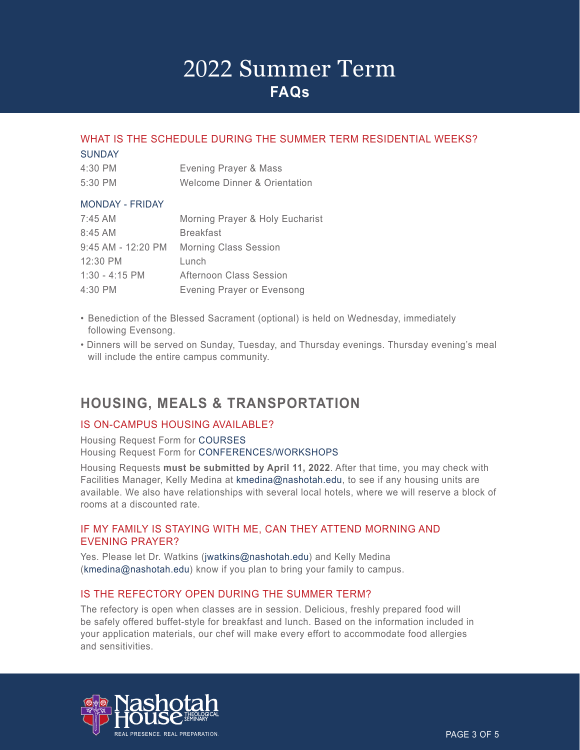## WHAT IS THE SCHEDULE DURING THE SUMMER TERM RESIDENTIAL WEEKS?

#### SUNDAY

| $4:30$ PM | Evening Prayer & Mass        |
|-----------|------------------------------|
| 5:30 PM   | Welcome Dinner & Orientation |

#### MONDAY - FRIDAY

| 7:45 AM            | Morning Prayer & Holy Eucharist |
|--------------------|---------------------------------|
| $8:45$ AM          | <b>Breakfast</b>                |
| 9:45 AM - 12:20 PM | <b>Morning Class Session</b>    |
| 12:30 PM           | Lunch                           |
| $1:30 - 4:15$ PM   | Afternoon Class Session         |
| 4:30 PM            | Evening Prayer or Evensong      |

- Benediction of the Blessed Sacrament (optional) is held on Wednesday, immediately following Evensong.
- Dinners will be served on Sunday, Tuesday, and Thursday evenings. Thursday evening's meal will include the entire campus community.

## **HOUSING, MEALS & TRANSPORTATION**

### IS ON-CAMPUS HOUSING AVAILABLE?

Housing Request Form for COURSES Housing Request Form for CONFERENCES/WORKSHOPS

Housing Requests **must be submitted by April 11, 2022**. After that time, you may check with Facilities Manager, Kelly Medina at kmedina@nashotah.edu, to see if any housing units are available. We also have relationships with several local hotels, where we will reserve a block of rooms at a discounted rate.

### IF MY FAMILY IS STAYING WITH ME, CAN THEY ATTEND MORNING AND EVENING PRAYER?

Yes. Please let Dr. Watkins (jwatkins@nashotah.edu) and Kelly Medina (kmedina@nashotah.edu) know if you plan to bring your family to campus.

### IS THE REFECTORY OPEN DURING THE SUMMER TERM?

The refectory is open when classes are in session. Delicious, freshly prepared food will be safely offered buffet-style for breakfast and lunch. Based on the information included in your application materials, our chef will make every effort to accommodate food allergies and sensitivities.

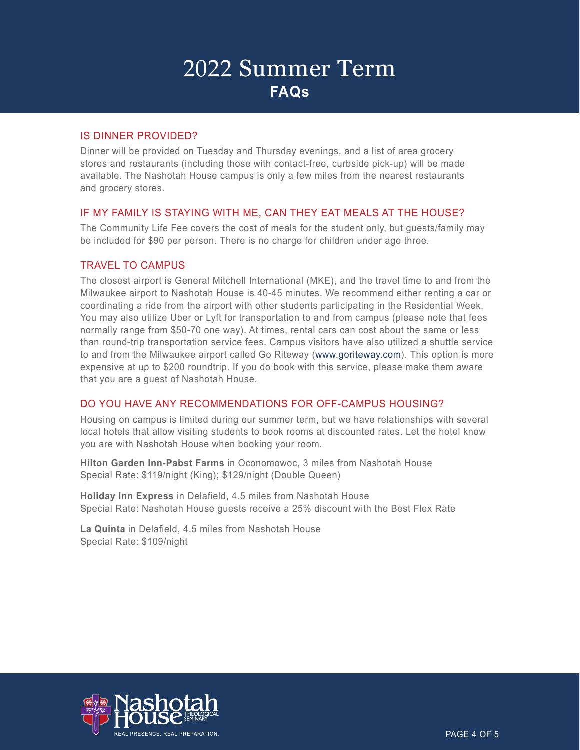#### IS DINNER PROVIDED?

Dinner will be provided on Tuesday and Thursday evenings, and a list of area grocery stores and restaurants (including those with contact-free, curbside pick-up) will be made available. The Nashotah House campus is only a few miles from the nearest restaurants and grocery stores.

#### IF MY FAMILY IS STAYING WITH ME, CAN THEY EAT MEALS AT THE HOUSE?

The Community Life Fee covers the cost of meals for the student only, but guests/family may be included for \$90 per person. There is no charge for children under age three.

#### TRAVEL TO CAMPUS

The closest airport is General Mitchell International (MKE), and the travel time to and from the Milwaukee airport to Nashotah House is 40-45 minutes. We recommend either renting a car or coordinating a ride from the airport with other students participating in the Residential Week. You may also utilize Uber or Lyft for transportation to and from campus (please note that fees normally range from \$50-70 one way). At times, rental cars can cost about the same or less than round-trip transportation service fees. Campus visitors have also utilized a shuttle service to and from the Milwaukee airport called Go Riteway (www.goriteway.com). This option is more expensive at up to \$200 roundtrip. If you do book with this service, please make them aware that you are a guest of Nashotah House.

### DO YOU HAVE ANY RECOMMENDATIONS FOR OFF-CAMPUS HOUSING?

Housing on campus is limited during our summer term, but we have relationships with several local hotels that allow visiting students to book rooms at discounted rates. Let the hotel know you are with Nashotah House when booking your room.

**Hilton Garden Inn-Pabst Farms** in Oconomowoc, 3 miles from Nashotah House Special Rate: \$119/night (King); \$129/night (Double Queen)

**Holiday Inn Express** in Delafield, 4.5 miles from Nashotah House Special Rate: Nashotah House guests receive a 25% discount with the Best Flex Rate

**La Quinta** in Delafield, 4.5 miles from Nashotah House Special Rate: \$109/night